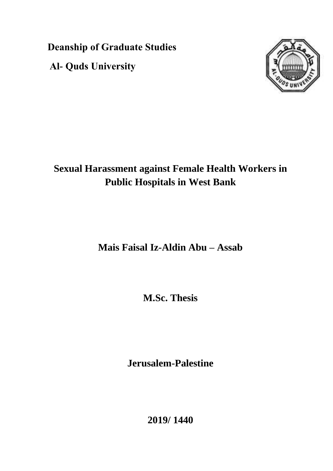**Deanship of Graduate Studies Al- Quds University**



# **Sexual Harassment against Female Health Workers in Public Hospitals in West Bank**

**Mais Faisal Iz-Aldin Abu – Assab**

**M.Sc. Thesis**

**Jerusalem-Palestine**

**2019/ 1440**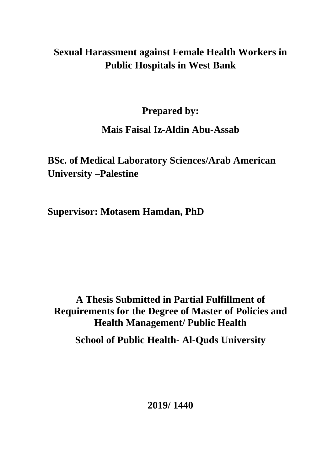# **Sexual Harassment against Female Health Workers in Public Hospitals in West Bank**

**Prepared by:** 

## **Mais Faisal Iz-Aldin Abu-Assab**

**BSc. of Medical Laboratory Sciences/Arab American University –Palestine**

**Supervisor: Motasem Hamdan, PhD**

**A Thesis Submitted in Partial Fulfillment of Requirements for the Degree of Master of Policies and Health Management/ Public Health School of Public Health- Al-Quds University**

**2019/ 1440**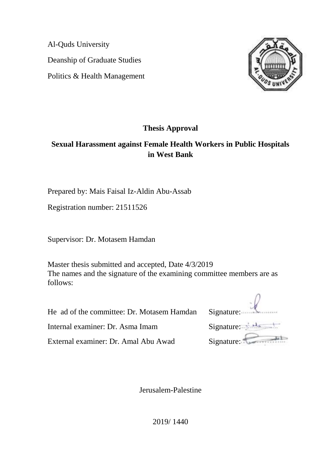Al-Quds University Deanship of Graduate Studies Politics & Health Management



### **Thesis Approval**

### **Sexual Harassment against Female Health Workers in Public Hospitals in West Bank**

Prepared by: Mais Faisal Iz-Aldin Abu-Assab

Registration number: 21511526

Supervisor: Dr. Motasem Hamdan

Master thesis submitted and accepted, Date 4/3/2019 The names and the signature of the examining committee members are as follows:

He ad of the committee: Dr. Motasem Hamdan Signature:

Internal examiner: Dr. Asma Imam Signature:

External examiner: Dr. Amal Abu Awad Signature:

| Signature: |  |
|------------|--|

Jerusalem-Palestine

2019/ 1440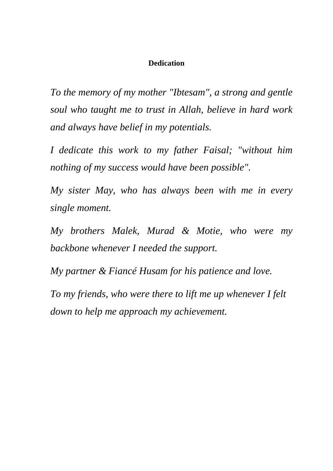### **Dedication**

*To the memory of my mother "Ibtesam", a strong and gentle soul who taught me to trust in Allah, believe in hard work and always have belief in my potentials.*

*I dedicate this work to my father Faisal; "without him nothing of my success would have been possible".*

*My sister May, who has always been with me in every single moment.*

*My brothers Malek, Murad & Motie, who were my backbone whenever I needed the support.*

*My partner & Fiancé Husam for his patience and love.*

*To my friends, who were there to lift me up whenever I felt down to help me approach my achievement.*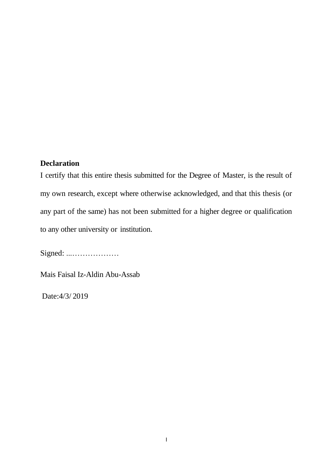### <span id="page-4-0"></span>**Declaration**

I certify that this entire thesis submitted for the Degree of Master, is the result of my own research, except where otherwise acknowledged, and that this thesis (or any part of the same) has not been submitted for a higher degree or qualification to any other university or institution.

Signed: ...………………

Mais Faisal Iz-Aldin Abu-Assab

Date:4/3/ 2019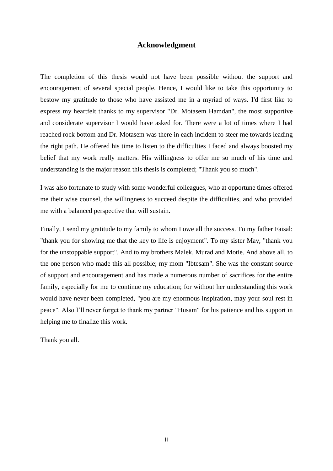#### **Acknowledgment**

<span id="page-5-0"></span>The completion of this thesis would not have been possible without the support and encouragement of several special people. Hence, I would like to take this opportunity to bestow my gratitude to those who have assisted me in a myriad of ways. I'd first like to express my heartfelt thanks to my supervisor "Dr. Motasem Hamdan", the most supportive and considerate supervisor I would have asked for. There were a lot of times where I had reached rock bottom and Dr. Motasem was there in each incident to steer me towards leading the right path. He offered his time to listen to the difficulties I faced and always boosted my belief that my work really matters. His willingness to offer me so much of his time and understanding is the major reason this thesis is completed; "Thank you so much".

I was also fortunate to study with some wonderful colleagues, who at opportune times offered me their wise counsel, the willingness to succeed despite the difficulties, and who provided me with a balanced perspective that will sustain.

Finally, I send my gratitude to my family to whom I owe all the success. To my father Faisal: "thank you for showing me that the key to life is enjoyment". To my sister May, "thank you for the unstoppable support". And to my brothers Malek, Murad and Motie. And above all, to the one person who made this all possible; my mom "Ibtesam". She was the constant source of support and encouragement and has made a numerous number of sacrifices for the entire family, especially for me to continue my education; for without her understanding this work would have never been completed, "you are my enormous inspiration, may your soul rest in peace". Also I"ll never forget to thank my partner "Husam" for his patience and his support in helping me to finalize this work.

Thank you all.

II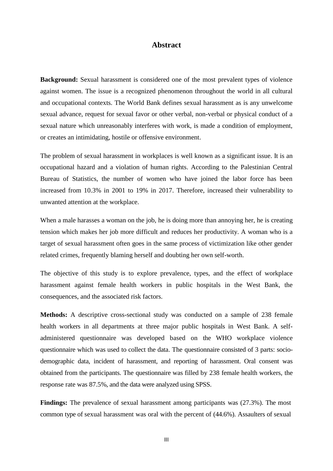#### **Abstract**

<span id="page-6-0"></span>**Background:** Sexual harassment is considered one of the most prevalent types of violence against women. The issue is a recognized phenomenon throughout the world in all cultural and occupational contexts. The World Bank defines sexual harassment as is any unwelcome sexual advance, request for sexual favor or other verbal, non-verbal or physical conduct of a sexual nature which unreasonably interferes with work, is made a condition of employment, or creates an intimidating, hostile or offensive environment.

The problem of sexual harassment in workplaces is well known as a significant issue. It is an occupational hazard and a violation of human rights. According to the Palestinian Central Bureau of Statistics, the number of women who have joined the labor force has been increased from 10.3% in 2001 to 19% in 2017. Therefore, increased their vulnerability to unwanted attention at the workplace.

When a male harasses a woman on the job, he is doing more than annoying her, he is creating tension which makes her job more difficult and reduces her productivity. A woman who is a target of sexual harassment often goes in the same process of victimization like other gender related crimes, frequently blaming herself and doubting her own self-worth.

The objective of this study is to explore prevalence, types, and the effect of workplace harassment against female health workers in public hospitals in the West Bank, the consequences, and the associated risk factors.

**Methods:** A descriptive cross-sectional study was conducted on a sample of 238 female health workers in all departments at three major public hospitals in West Bank. A selfadministered questionnaire was developed based on the WHO workplace violence questionnaire which was used to collect the data. The questionnaire consisted of 3 parts: sociodemographic data, incident of harassment, and reporting of harassment. Oral consent was obtained from the participants. The questionnaire was filled by 238 female health workers, the response rate was 87.5%, and the data were analyzed using SPSS.

**Findings:** The prevalence of sexual harassment among participants was (27.3%). The most common type of sexual harassment was oral with the percent of (44.6%). Assaulters of sexual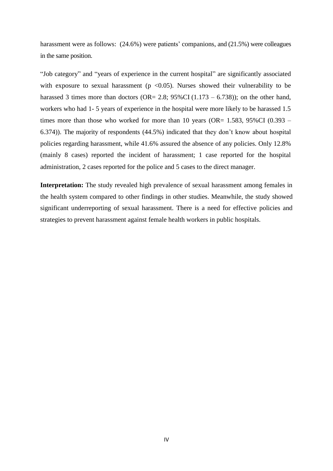harassment were as follows:  $(24.6%)$  were patients' companions, and  $(21.5%)$  were colleagues in the same position.

"Job category" and "years of experience in the current hospital" are significantly associated with exposure to sexual harassment ( $p \le 0.05$ ). Nurses showed their vulnerability to be harassed 3 times more than doctors (OR= 2.8;  $95\%$ CI (1.173 – 6.738)); on the other hand, workers who had 1- 5 years of experience in the hospital were more likely to be harassed 1.5 times more than those who worked for more than 10 years (OR=  $1.583$ ,  $95\%$ CI (0.393 – 6.374)). The majority of respondents (44.5%) indicated that they don"t know about hospital policies regarding harassment, while 41.6% assured the absence of any policies. Only 12.8% (mainly 8 cases) reported the incident of harassment; 1 case reported for the hospital administration, 2 cases reported for the police and 5 cases to the direct manager.

**Interpretation:** The study revealed high prevalence of sexual harassment among females in the health system compared to other findings in other studies. Meanwhile, the study showed significant underreporting of sexual harassment. There is a need for effective policies and strategies to prevent harassment against female health workers in public hospitals.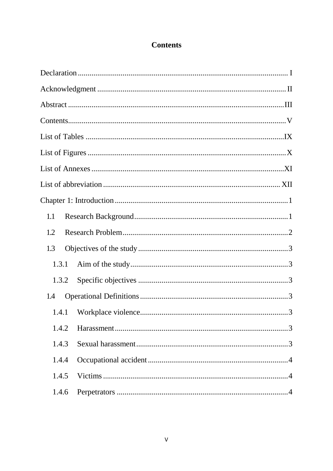### **Contents**

<span id="page-8-0"></span>

| 1.1   |  |
|-------|--|
| 1.2   |  |
| 1.3   |  |
| 1.3.1 |  |
| 1.3.2 |  |
| 1.4   |  |
| 1.4.1 |  |
| 1.4.2 |  |
| 1.4.3 |  |
| 1.4.4 |  |
| 1.4.5 |  |
| 1.4.6 |  |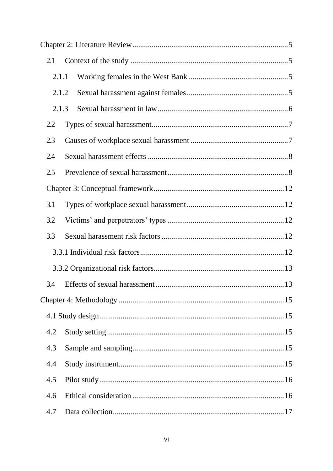| 2.1   |       |  |
|-------|-------|--|
| 2.1.1 |       |  |
|       | 2.1.2 |  |
|       | 2.1.3 |  |
| 2.2   |       |  |
| 2.3   |       |  |
| 2.4   |       |  |
| 2.5   |       |  |
|       |       |  |
| 3.1   |       |  |
| 3.2   |       |  |
| 3.3   |       |  |
|       |       |  |
|       |       |  |
| 3.4   |       |  |
|       |       |  |
|       |       |  |
| 4.2   |       |  |
| 4.3   |       |  |
| 4.4   |       |  |
| 4.5   |       |  |
| 4.6   |       |  |
| 4.7   |       |  |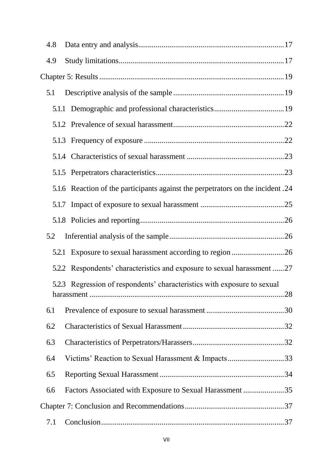| 4.8 |                                                                                 |  |
|-----|---------------------------------------------------------------------------------|--|
| 4.9 |                                                                                 |  |
|     |                                                                                 |  |
| 5.1 |                                                                                 |  |
|     |                                                                                 |  |
|     |                                                                                 |  |
|     |                                                                                 |  |
|     |                                                                                 |  |
|     |                                                                                 |  |
|     | 5.1.6 Reaction of the participants against the perpetrators on the incident .24 |  |
|     |                                                                                 |  |
|     |                                                                                 |  |
| 5.2 |                                                                                 |  |
|     |                                                                                 |  |
|     | 5.2.2 Respondents' characteristics and exposure to sexual harassment 27         |  |
|     | 5.2.3 Regression of respondents' characteristics with exposure to sexual        |  |
| 6.1 |                                                                                 |  |
| 6.2 |                                                                                 |  |
| 6.3 |                                                                                 |  |
| 6.4 | Victims' Reaction to Sexual Harassment & Impacts33                              |  |
| 6.5 |                                                                                 |  |
| 6.6 | Factors Associated with Exposure to Sexual Harassment35                         |  |
|     |                                                                                 |  |
| 7.1 |                                                                                 |  |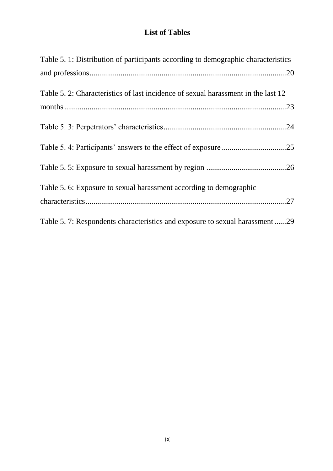## <span id="page-12-0"></span>**List of Tables**

| Table 5. 1: Distribution of participants according to demographic characteristics |
|-----------------------------------------------------------------------------------|
|                                                                                   |
| Table 5. 2: Characteristics of last incidence of sexual harassment in the last 12 |
|                                                                                   |
|                                                                                   |
|                                                                                   |
|                                                                                   |
| Table 5. 6: Exposure to sexual harassment according to demographic                |
|                                                                                   |
| Table 5.7: Respondents characteristics and exposure to sexual harassment29        |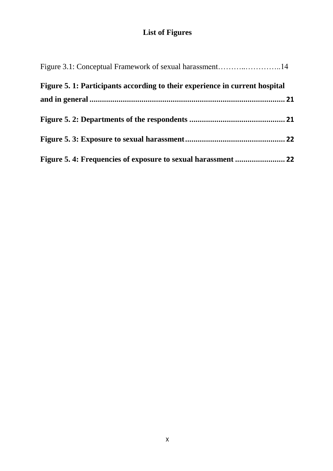## **List of Figures**

<span id="page-13-0"></span>

| Figure 5. 1: Participants according to their experience in current hospital |  |
|-----------------------------------------------------------------------------|--|
|                                                                             |  |
|                                                                             |  |
|                                                                             |  |
|                                                                             |  |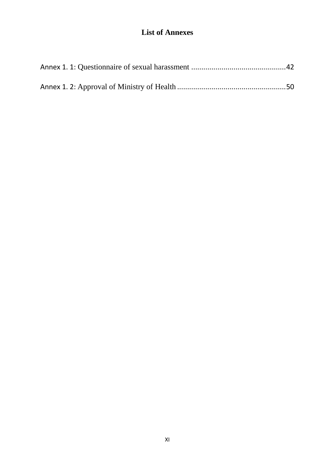## **List of Annexes**

<span id="page-14-0"></span>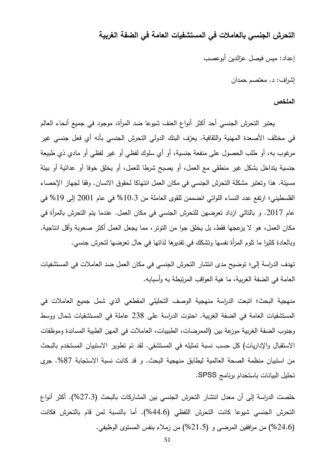**التحرش الجنسي بالعامالت في المستشفيات العامة في الضفة الغربية**

إعداد: ميس فيصل عزالدين أبوعصب

إشراف9 د. معتصم حمدان

#### **الملخص**

يعتبر التحرش الجنسي أحد أكثر أنواع العنف شيوعا ضد المرأة، موجود في جميع أنحاء العالم في مختلف الأصعدة المهنية والثقافية. يعرّف البنك الدولي التحرش الجنسي بأنه أي فعل جنسي غير مرغوب به، أو طلب الحصول على منفعة جنسية، أو أي سلوك لفظي أو غير لفظي أو مادي ذي طبيعة جنسية يتداخل بشكل غير منطقي مع العمل، أو يصبح شرطا لمعمل، أو يخمق خوفا أو عدائية أو بيئة مسيئة. هذا و تعتبر مشكمة التحرش الجنسي في مكان العمل انتهاكا لحقوق االنسان. وفقا لجهاز اإلحصاء الفلسطيني؛ ارتفع عدد النساء اللواتي انضممن للقوى العاملة من 10.3% في عام 2001 إلى 19% في عام 2017. و بالتالي ازداد تعرضهن للتحرش الجنسي في مكان العمل. عندما يتم التحرش بالمرأة في مكان العمل، هو لا يزعجها فقط، بل يخلق جوا من التوتر، مما يجعل العمل أكثر صعوبة وأقل انتاجية. وبالعادة كثيرا ما تلوم المرأة نفسها وتشكك في تقديرها لذاتها في حال تعرضها لتحرش جنسي.

تهدف الدراسة إلى؛ توضيح مدى انتشار التحرش الجنسي في مكان العمل ضد العامالت في المستشفيات العامة في الضفة الغربية، ما هية العواقب المرتبطة به و أسبابه.

منهجية البحث؛ اتبعت الدراسة منهجية الوصف التحليلي المقطعي الذي شمل جميع العاملات في المستشفيات العامة في الضفة الغربية. احتوت الدراسة عمى 127 عاممة في المستشفيات شمال ووسط وجنوب الضفة الغربية موزعة بين (الممرضات، الطبيبات، العاملات في المهن الطبية المساندة وموظفات الاستقبال والإداريات) كل حسب نسبة تمثيله في المستشفى. لقد تم تطوير الاستبيان المستخدم بالبحث من استبيان منظمة الصحة العالمية ليطابق منهجية البحث. و قد كانت نسبة الاستجابة 87%. جرى تحميل البيانات باستخدام برنامج SPSS.

خلصت الدراسة إلى أن معدل انتشار التحرش الجنسي بين المشاركات بالبحث (27.3%). أكثر أنواع التحرش الجنسي شيوعا كانت التحرش اللفظي (44.6%). أما بالنسبة لمن قام بالتحرش فكانت )%13.5( من مرافقين المرضى و )%10.4( من زمالء بنفس المستوى الوظيفي.